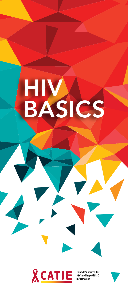

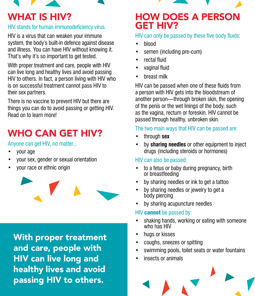### WHAT IS HIV?

### HIV stands for human immunodeficiency virus.

HIV is a virus that can weaken your immune system, the body's built-in defence against disease and illness. You can have HIV without knowing it. That's why it's so important to get tested.

With proper treatment and care, people with HIV can live long and healthy lives and avoid passing HIV to others. In fact, a person living with HIV who is on successful treatment cannot pass HIV to their sex partners.

There is no vaccine to prevent HIV but there are things you can do to avoid passing or getting HIV. Read on to learn more!

### WHO CAN GET HIV?

Anyone can get HIV, no matter...

- your age
- your sex, gender or sexual orientation
- your race or ethnic origin



With proper treatment and care, people with HIV can live long and healthy lives and avoid passing HIV to others.

### HOW DOES A PERSON GET HIV?

### HIV can only be passed by these five body fluids:

- blood
- semen (including pre-cum)
- rectal fluid
- vaginal fluid
- breast milk

HIV can be passed when one of these fluids from a person with HIV gets into the bloodstream of another person—through broken skin, the opening of the penis or the wet linings of the body, such as the vagina, rectum or foreskin. HIV cannot be passed through healthy, unbroken skin.

### The two main ways that HIV can be passed are:

- through **sex**
- by **sharing needles** or other equipment to inject drugs (including steroids or hormones)

### HIV can also be passed:

- to a fetus or baby during pregnancy, birth or breastfeeding
- by sharing needles or ink to get a tattoo
- by sharing needles or jewelry to get a body piercing
- by sharing acupuncture needles

### HIV **cannot** be passed by:

- shaking hands, working or eating with someone who has HIV
- hugs or kisses
- coughs, sneezes or spitting
- swimming pools, toilet seats or water fountains
- insects or animals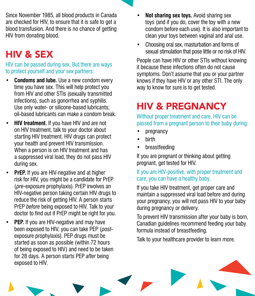Since November 1985, all blood products in Canada are checked for HIV, to ensure that it is safe to get a blood transfusion. And there is no chance of getting HIV from donating blood.

# HIV & SEX

HIV can be passed during sex. But there are ways to protect yourself and your sex partners:

- **• Condoms and lube.** Use a new condom every time you have sex. This will help protect you from HIV and other STIs (sexually transmitted infections), such as gonorrhea and syphilis. Use only water- or silicone-based lubricants; oil-based lubricants can make a condom break.
- **• HIV treatment.** If you have HIV and are not on HIV treatment, talk to your doctor about starting HIV treatment. HIV drugs can protect your health and prevent HIV transmission. When a person is on HIV treatment and has a suppressed viral load, they do not pass HIV during sex.
- **• PrEP.** If you are HIV-negative and at higher risk for HIV, you might be a candidate for PrEP (*pre*-exposure prophylaxis). PrEP involves an HIV-negative person taking certain HIV drugs to reduce the risk of getting HIV. A person starts PrEP *before* being exposed to HIV. Talk to your doctor to find out if PrEP might be right for you.
- **PEP.** If you are HIV-negative and may have been exposed to HIV, you can take PEP (*post*exposure prophylaxis). PEP drugs must be started as soon as possible (within 72 hours of being exposed to HIV) and need to be taken for 28 days. A person starts PEP *after* being exposed to HIV.
- **• Not sharing sex toys.** Avoid sharing sex toys (and if you do, cover the toy with a new condom before each use). It is also important to clean your toys between vaginal and anal use.
- Choosing oral sex, masturbation and forms of sexual stimulation that pose little or no risk of HIV.

People can have HIV or other STIs without knowing it because these infections often do not cause symptoms. Don't assume that you or your partner knows if they have HIV or any other STI. The only way to know for sure is to get tested.

# HIV & PREGNANCY

Without proper treatment and care, HIV can be passed from a pregnant person to their baby during:

- pregnancy
- birth
- breastfeeding

If you are pregnant or thinking about getting pregnant, get tested for HIV.

### If you are HIV-positive, with proper treatment and care, you can have a healthy baby.

If you take HIV treatment, get proper care and maintain a suppressed viral load before and during your pregnancy, you will not pass HIV to your baby during pregnancy or delivery.

To prevent HIV transmission after your baby is born, Canadian guidelines recommend feeding your baby formula instead of breastfeeding.

Talk to your healthcare provider to learn more.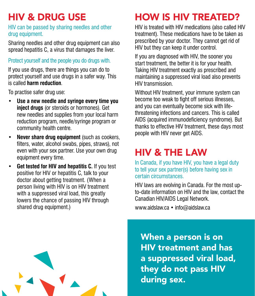# HIV & DRUG USE

#### HIV can be passed by sharing needles and other drug equipment.

Sharing needles and other drug equipment can also spread hepatitis C, a virus that damages the liver.

### Protect yourself and the people you do drugs with.

If you use drugs, there are things you can do to protect yourself and use drugs in a safer way. This is called **harm reduction**.

To practise safer drug use:

- **• Use a new needle and syringe every time you inject drugs** (or steroids or hormones). Get new needles and supplies from your local harm reduction program, needle/syringe program or community health centre.
- **• Never share drug equipment** (such as cookers, filters, water, alcohol swabs, pipes, straws), not even with your sex partner. Use your own drug equipment every time.
- **• Get tested for HIV and hepatitis C.** If you test positive for HIV or hepatitis C, talk to your doctor about getting treatment. (When a person living with HIV is on HIV treatment with a suppressed viral load, this greatly lowers the chance of passing HIV through shared drug equipment.)

# HOW IS HIV TREATED?

HIV is treated with HIV medications (also called HIV treatment). These medications have to be taken as prescribed by your doctor. They cannot get rid of HIV but they can keep it under control.

If you are diagnosed with HIV, the sooner you start treatment, the better it is for your health. Taking HIV treatment exactly as prescribed and maintaining a suppressed viral load also prevents HIV transmission.

Without HIV treatment, your immune system can become too weak to fight off serious illnesses, and you can eventually become sick with lifethreatening infections and cancers. This is called AIDS (acquired immunodeficiency syndrome). But thanks to effective HIV treatment, these days most people with HIV never get AIDS.

## HIV & THE LAW

In Canada, if you have HIV, you have a legal duty to tell your sex partner(s) before having sex in certain circumstances.

HIV laws are evolving in Canada. For the most upto-date information on HIV and the law, contact the Canadian HIV/AIDS Legal Network.

www.aidslaw.ca • info@aidslaw.ca

When a person is on HIV treatment and has a suppressed viral load, they do not pass HIV during sex.

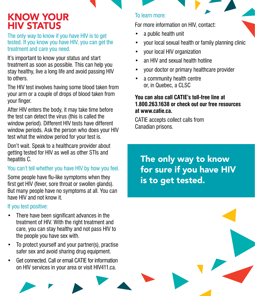### KNOW YOUR HIV STATUS

The only way to know if you have HIV is to get tested. If you know you have HIV, you can get the treatment and care you need.

It's important to know your status and start treatment as soon as possible. This can help you stay healthy, live a long life and avoid passing HIV to others.

The HIV test involves having some blood taken from your arm or a couple of drops of blood taken from your finger.

After HIV enters the body, it may take time before the test can detect the virus (this is called the window period). Different HIV tests have different window periods. Ask the person who does your HIV test what the window period for your test is.

Don't wait. Speak to a healthcare provider about getting tested for HIV as well as other STIs and hepatitis C.

### You can't tell whether you have HIV by how you feel.

Some people have flu-like symptoms when they first get HIV (fever, sore throat or swollen glands). But many people have no symptoms at all. You can have HIV and not know it.

#### If you test positive:

- There have been significant advances in the treatment of HIV. With the right treatment and care, you can stay healthy and not pass HIV to the people you have sex with.
- To protect yourself and your partner(s), practise safer sex and avoid sharing drug equipment.
- Get connected. Call or email CATIE for information on HIV services in your area or visit HIV411.ca.

#### To learn more:

For more information on HIV, contact:

- a public health unit
- your local sexual health or family planning clinic
- vour local HIV organization
- an HIV and sexual health hotline
- your doctor or primary healthcare provider
- a community health centre or, in Quebec, a CLSC

#### **You can also call CATIE's toll-free line at 1.800.263.1638 or check out our free resources at www.catie.ca.**

CATIE accepts collect calls from Canadian prisons.

The only way to know for sure if you have HIV is to get tested.